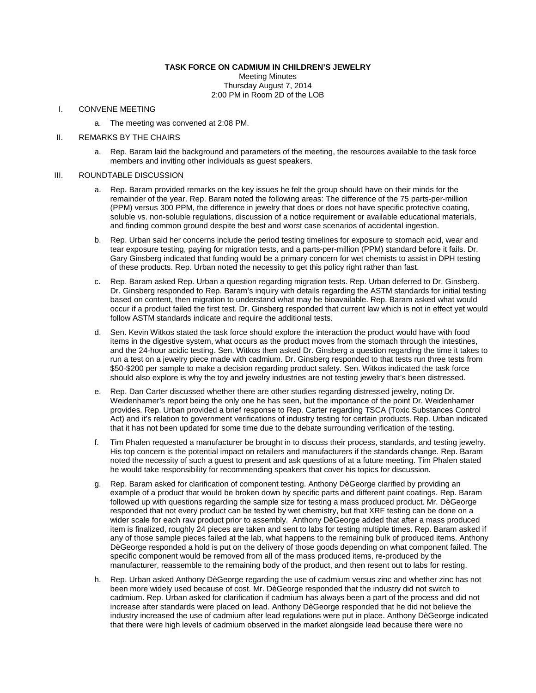## **TASK FORCE ON CADMIUM IN CHILDREN'S JEWELRY**

Meeting Minutes Thursday August 7, 2014 2:00 PM in Room 2D of the LOB

#### I. CONVENE MEETING

a. The meeting was convened at 2:08 PM.

## II. REMARKS BY THE CHAIRS

a. Rep. Baram laid the background and parameters of the meeting, the resources available to the task force members and inviting other individuals as guest speakers.

# III. ROUNDTABLE DISCUSSION

- a. Rep. Baram provided remarks on the key issues he felt the group should have on their minds for the remainder of the year. Rep. Baram noted the following areas: The difference of the 75 parts-per-million (PPM) versus 300 PPM, the difference in jewelry that does or does not have specific protective coating, soluble vs. non-soluble regulations, discussion of a notice requirement or available educational materials, and finding common ground despite the best and worst case scenarios of accidental ingestion.
- b. Rep. Urban said her concerns include the period testing timelines for exposure to stomach acid, wear and tear exposure testing, paying for migration tests, and a parts-per-million (PPM) standard before it fails. Dr. Gary Ginsberg indicated that funding would be a primary concern for wet chemists to assist in DPH testing of these products. Rep. Urban noted the necessity to get this policy right rather than fast.
- c. Rep. Baram asked Rep. Urban a question regarding migration tests. Rep. Urban deferred to Dr. Ginsberg. Dr. Ginsberg responded to Rep. Baram's inquiry with details regarding the ASTM standards for initial testing based on content, then migration to understand what may be bioavailable. Rep. Baram asked what would occur if a product failed the first test. Dr. Ginsberg responded that current law which is not in effect yet would follow ASTM standards indicate and require the additional tests.
- d. Sen. Kevin Witkos stated the task force should explore the interaction the product would have with food items in the digestive system, what occurs as the product moves from the stomach through the intestines, and the 24-hour acidic testing. Sen. Witkos then asked Dr. Ginsberg a question regarding the time it takes to run a test on a jewelry piece made with cadmium. Dr. Ginsberg responded to that tests run three tests from \$50-\$200 per sample to make a decision regarding product safety. Sen. Witkos indicated the task force should also explore is why the toy and jewelry industries are not testing jewelry that's been distressed.
- e. Rep. Dan Carter discussed whether there are other studies regarding distressed jewelry, noting Dr. Weidenhamer's report being the only one he has seen, but the importance of the point Dr. Weidenhamer provides. Rep. Urban provided a brief response to Rep. Carter regarding TSCA (Toxic Substances Control Act) and it's relation to government verifications of industry testing for certain products. Rep. Urban indicated that it has not been updated for some time due to the debate surrounding verification of the testing.
- f. Tim Phalen requested a manufacturer be brought in to discuss their process, standards, and testing jewelry. His top concern is the potential impact on retailers and manufacturers if the standards change. Rep. Baram noted the necessity of such a guest to present and ask questions of at a future meeting. Tim Phalen stated he would take responsibility for recommending speakers that cover his topics for discussion.
- g. Rep. Baram asked for clarification of component testing. Anthony DèGeorge clarified by providing an example of a product that would be broken down by specific parts and different paint coatings. Rep. Baram followed up with questions regarding the sample size for testing a mass produced product. Mr. DèGeorge responded that not every product can be tested by wet chemistry, but that XRF testing can be done on a wider scale for each raw product prior to assembly. Anthony DèGeorge added that after a mass produced item is finalized, roughly 24 pieces are taken and sent to labs for testing multiple times. Rep. Baram asked if any of those sample pieces failed at the lab, what happens to the remaining bulk of produced items. Anthony DèGeorge responded a hold is put on the delivery of those goods depending on what component failed. The specific component would be removed from all of the mass produced items, re-produced by the manufacturer, reassemble to the remaining body of the product, and then resent out to labs for resting.
- h. Rep. Urban asked Anthony DèGeorge regarding the use of cadmium versus zinc and whether zinc has not been more widely used because of cost. Mr. DèGeorge responded that the industry did not switch to cadmium. Rep. Urban asked for clarification if cadmium has always been a part of the process and did not increase after standards were placed on lead. Anthony DèGeorge responded that he did not believe the industry increased the use of cadmium after lead regulations were put in place. Anthony DèGeorge indicated that there were high levels of cadmium observed in the market alongside lead because there were no